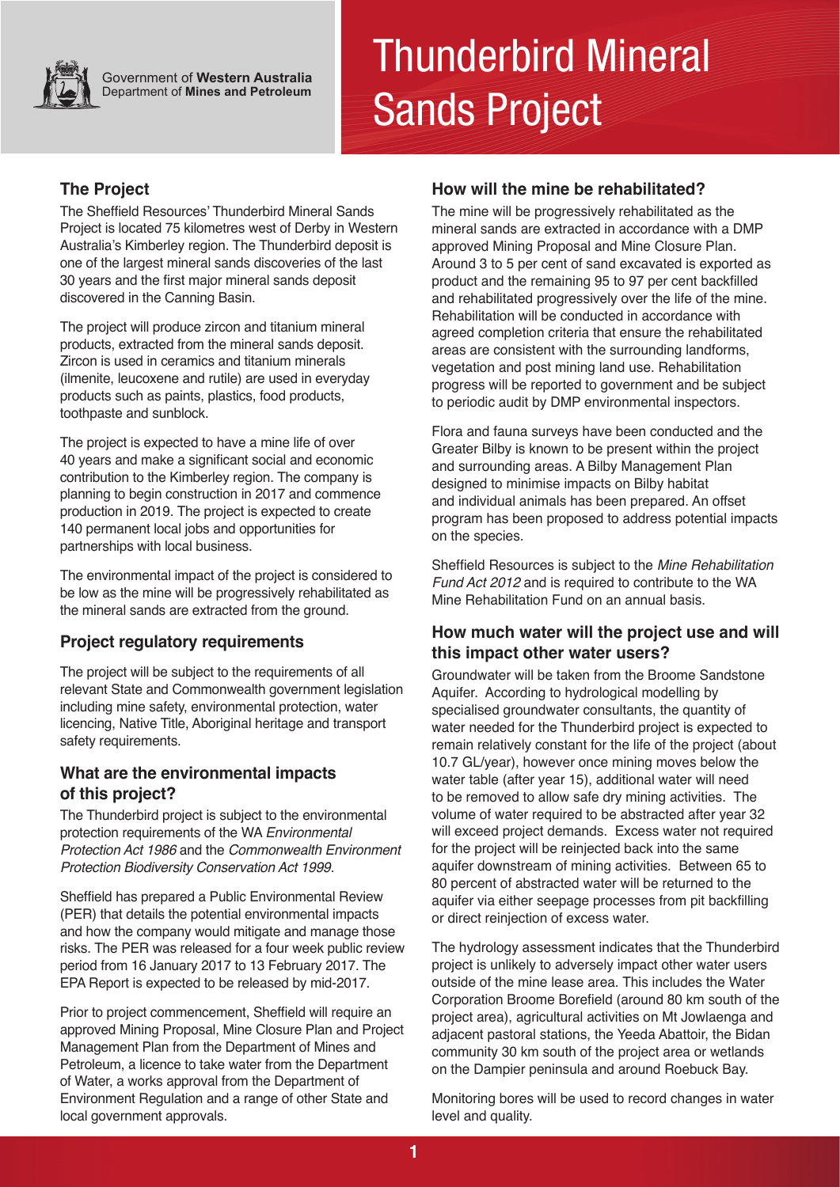

**Government of Western Australia Department of Mines and Petroleum** 

# Thunderbird Mineral Sands Project

# **The Project**

The Sheffield Resources' Thunderbird Mineral Sands Project is located 75 kilometres west of Derby in Western Australia's Kimberley region. The Thunderbird deposit is one of the largest mineral sands discoveries of the last 30 years and the first major mineral sands deposit discovered in the Canning Basin.

**Extended** from the mineral conde products, extracted from the mineral sands deposit.<br>— Zircon is used in ceramics and titanium minerals The project will produce zircon and titanium mineral (ilmenite, leucoxene and rutile) are used in everyday products such as paints, plastics, food products, toothpaste and sunblock.

The project is expected to have a mine life of over 40 years and make a significant social and economic contribution to the Kimberley region. The company is planning to begin construction in 2017 and commence production in 2019. The project is expected to create 140 permanent local jobs and opportunities for partnerships with local business.

The environmental impact of the project is considered to be low as the mine will be progressively rehabilitated as the mineral sands are extracted from the ground.

# **Project regulatory requirements**

The project will be subject to the requirements of all relevant State and Commonwealth government legislation including mine safety, environmental protection, water licencing, Native Title, Aboriginal heritage and transport safety requirements.

# **What are the environmental impacts of this project?**

The Thunderbird project is subject to the environmental protection requirements of the WA *Environmental Protection Act 1986* and the *Commonwealth Environment Protection Biodiversity Conservation Act 1999.* 

Sheffield has prepared a Public Environmental Review (PER) that details the potential environmental impacts and how the company would mitigate and manage those risks. The PER was released for a four week public review period from 16 January 2017 to 13 February 2017. The EPA Report is expected to be released by mid-2017.

Prior to project commencement, Sheffield will require an approved Mining Proposal, Mine Closure Plan and Project Management Plan from the Department of Mines and Petroleum, a licence to take water from the Department of Water, a works approval from the Department of Environment Regulation and a range of other State and local government approvals.

# **How will the mine be rehabilitated?**

The mine will be progressively rehabilitated as the mineral sands are extracted in accordance with a DMP approved Mining Proposal and Mine Closure Plan. Around 3 to 5 per cent of sand excavated is exported as product and the remaining 95 to 97 per cent backfilled and rehabilitated progressively over the life of the mine. Rehabilitation will be conducted in accordance with agreed completion criteria that ensure the rehabilitated areas are consistent with the surrounding landforms, vegetation and post mining land use. Rehabilitation progress will be reported to government and be subject to periodic audit by DMP environmental inspectors.

Flora and fauna surveys have been conducted and the Greater Bilby is known to be present within the project and surrounding areas. A Bilby Management Plan designed to minimise impacts on Bilby habitat and individual animals has been prepared. An offset program has been proposed to address potential impacts on the species.

Sheffield Resources is subject to the *Mine Rehabilitation Fund Act 2012* and is required to contribute to the WA Mine Rehabilitation Fund on an annual basis.

#### **How much water will the project use and will this impact other water users?**

Groundwater will be taken from the Broome Sandstone Aquifer. According to hydrological modelling by specialised groundwater consultants, the quantity of water needed for the Thunderbird project is expected to remain relatively constant for the life of the project (about 10.7 GL/year), however once mining moves below the water table (after year 15), additional water will need to be removed to allow safe dry mining activities. The volume of water required to be abstracted after year 32 will exceed project demands. Excess water not required for the project will be reinjected back into the same aquifer downstream of mining activities. Between 65 to 80 percent of abstracted water will be returned to the aquifer via either seepage processes from pit backfilling or direct reinjection of excess water.

The hydrology assessment indicates that the Thunderbird project is unlikely to adversely impact other water users outside of the mine lease area. This includes the Water Corporation Broome Borefield (around 80 km south of the project area), agricultural activities on Mt Jowlaenga and adjacent pastoral stations, the Yeeda Abattoir, the Bidan community 30 km south of the project area or wetlands on the Dampier peninsula and around Roebuck Bay.

Monitoring bores will be used to record changes in water level and quality.